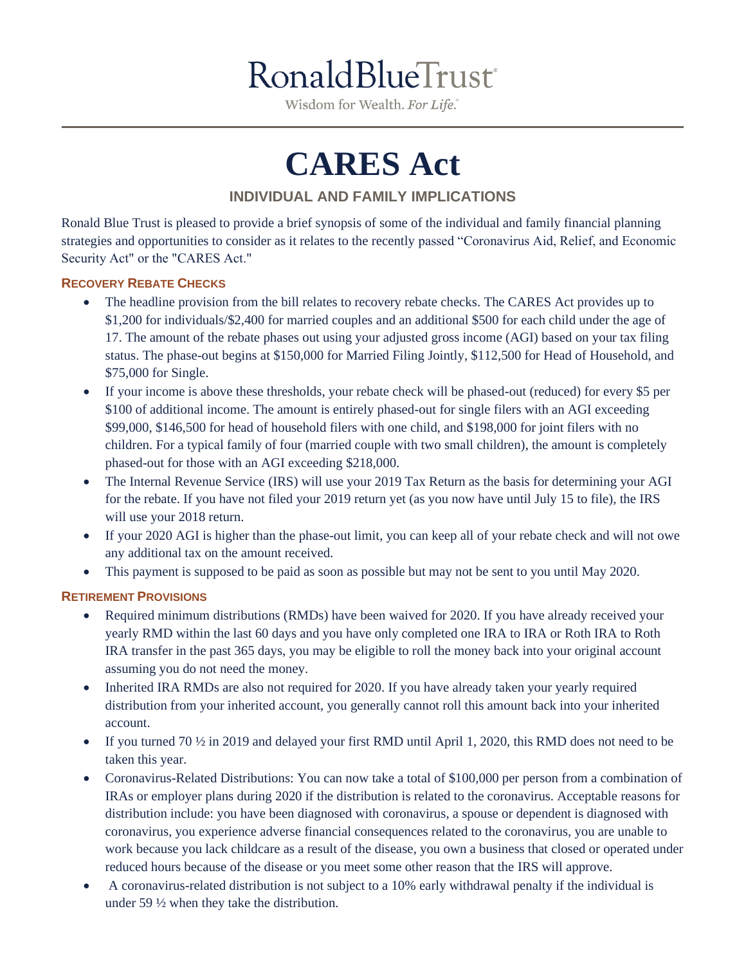Wisdom for Wealth. For Life.

# **CARES Act**

# **INDIVIDUAL AND FAMILY IMPLICATIONS**

Ronald Blue Trust is pleased to provide a brief synopsis of some of the individual and family financial planning strategies and opportunities to consider as it relates to the recently passed "Coronavirus Aid, Relief, and Economic Security Act" or the "CARES Act."

## **RECOVERY REBATE CHECKS**

- The headline provision from the bill relates to recovery rebate checks. The CARES Act provides up to \$1,200 for individuals/\$2,400 for married couples and an additional \$500 for each child under the age of 17. The amount of the rebate phases out using your adjusted gross income (AGI) based on your tax filing status. The phase-out begins at \$150,000 for Married Filing Jointly, \$112,500 for Head of Household, and \$75,000 for Single.
- If your income is above these thresholds, your rebate check will be phased-out (reduced) for every \$5 per \$100 of additional income. The amount is entirely phased-out for single filers with an AGI exceeding \$99,000, \$146,500 for head of household filers with one child, and \$198,000 for joint filers with no children. For a typical family of four (married couple with two small children), the amount is completely phased-out for those with an AGI exceeding \$218,000.
- The Internal Revenue Service (IRS) will use your 2019 Tax Return as the basis for determining your AGI for the rebate. If you have not filed your 2019 return yet (as you now have until July 15 to file), the IRS will use your 2018 return.
- If your 2020 AGI is higher than the phase-out limit, you can keep all of your rebate check and will not owe any additional tax on the amount received.
- This payment is supposed to be paid as soon as possible but may not be sent to you until May 2020.

#### **RETIREMENT PROVISIONS**

- Required minimum distributions (RMDs) have been waived for 2020. If you have already received your yearly RMD within the last 60 days and you have only completed one IRA to IRA or Roth IRA to Roth IRA transfer in the past 365 days, you may be eligible to roll the money back into your original account assuming you do not need the money.
- Inherited IRA RMDs are also not required for 2020. If you have already taken your yearly required distribution from your inherited account, you generally cannot roll this amount back into your inherited account.
- If you turned 70  $\frac{1}{2}$  in 2019 and delayed your first RMD until April 1, 2020, this RMD does not need to be taken this year.
- Coronavirus-Related Distributions: You can now take a total of \$100,000 per person from a combination of IRAs or employer plans during 2020 if the distribution is related to the coronavirus. Acceptable reasons for distribution include: you have been diagnosed with coronavirus, a spouse or dependent is diagnosed with coronavirus, you experience adverse financial consequences related to the coronavirus, you are unable to work because you lack childcare as a result of the disease, you own a business that closed or operated under reduced hours because of the disease or you meet some other reason that the IRS will approve.
- A coronavirus-related distribution is not subject to a 10% early withdrawal penalty if the individual is under 59 ½ when they take the distribution.